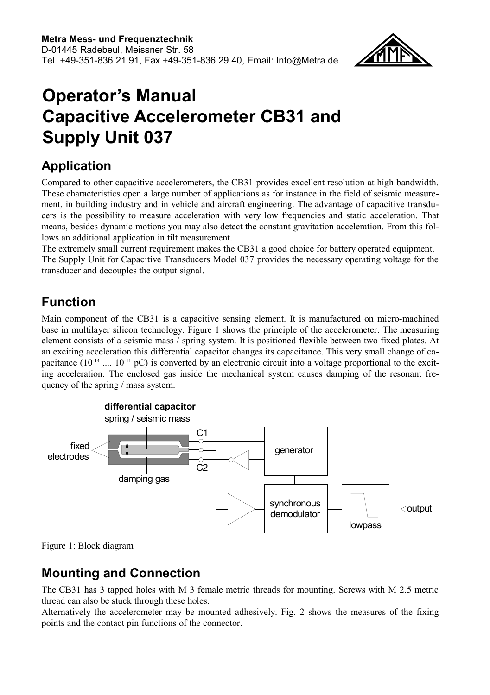

# **Operator's Manual Capacitive Accelerometer CB31 and Supply Unit 037**

# **Application**

Compared to other capacitive accelerometers, the CB31 provides excellent resolution at high bandwidth. These characteristics open a large number of applications as for instance in the field of seismic measurement, in building industry and in vehicle and aircraft engineering. The advantage of capacitive transducers is the possibility to measure acceleration with very low frequencies and static acceleration. That means, besides dynamic motions you may also detect the constant gravitation acceleration. From this follows an additional application in tilt measurement.

The extremely small current requirement makes the CB31 a good choice for battery operated equipment. The Supply Unit for Capacitive Transducers Model 037 provides the necessary operating voltage for the transducer and decouples the output signal.

# **Function**

Main component of the CB31 is a capacitive sensing element. It is manufactured on micro-machined base in multilayer silicon technology. [Figure 1](#page-0-0) shows the principle of the accelerometer. The measuring element consists of a seismic mass / spring system. It is positioned flexible between two fixed plates. At an exciting acceleration this differential capacitor changes its capacitance. This very small change of capacitance  $(10^{-14} \dots 10^{-11} \text{ pC})$  is converted by an electronic circuit into a voltage proportional to the exciting acceleration. The enclosed gas inside the mechanical system causes damping of the resonant frequency of the spring / mass system.



<span id="page-0-0"></span>Figure 1: Block diagram

## **Mounting and Connection**

The CB31 has 3 tapped holes with M 3 female metric threads for mounting. Screws with M 2.5 metric thread can also be stuck through these holes.

Alternatively the accelerometer may be mounted adhesively. Fig. 2 shows the measures of the fixing points and the contact pin functions of the connector.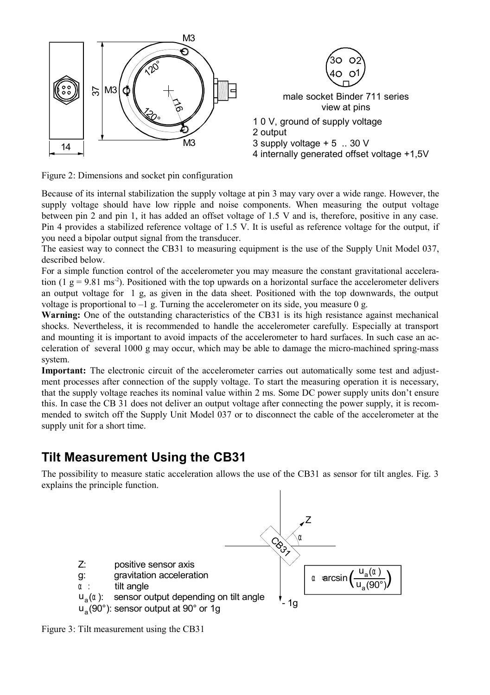

Figure 2: Dimensions and socket pin configuration

Because of its internal stabilization the supply voltage at pin 3 may vary over a wide range. However, the supply voltage should have low ripple and noise components. When measuring the output voltage between pin 2 and pin 1, it has added an offset voltage of 1.5 V and is, therefore, positive in any case. Pin 4 provides a stabilized reference voltage of 1.5 V. It is useful as reference voltage for the output, if you need a bipolar output signal from the transducer.

The easiest way to connect the CB31 to measuring equipment is the use of the Supply Unit Model 037, described below.

For a simple function control of the accelerometer you may measure the constant gravitational acceleration (1  $g = 9.81$  ms<sup>-2</sup>). Positioned with the top upwards on a horizontal surface the accelerometer delivers an output voltage for 1 g, as given in the data sheet. Positioned with the top downwards, the output voltage is proportional to  $-1$  g. Turning the accelerometer on its side, you measure 0 g.

**Warning:** One of the outstanding characteristics of the CB31 is its high resistance against mechanical shocks. Nevertheless, it is recommended to handle the accelerometer carefully. Especially at transport and mounting it is important to avoid impacts of the accelerometer to hard surfaces. In such case an acceleration of several 1000 g may occur, which may be able to damage the micro-machined spring-mass system.

**Important:** The electronic circuit of the accelerometer carries out automatically some test and adjustment processes after connection of the supply voltage. To start the measuring operation it is necessary, that the supply voltage reaches its nominal value within 2 ms. Some DC power supply units don't ensure this. In case the CB 31 does not deliver an output voltage after connecting the power supply, it is recommended to switch off the Supply Unit Model 037 or to disconnect the cable of the accelerometer at the supply unit for a short time.

### **Tilt Measurement Using the CB31**

The possibility to measure static acceleration allows the use of the CB31 as sensor for tilt angles. Fig. 3 explains the principle function.



Figure 3: Tilt measurement using the CB31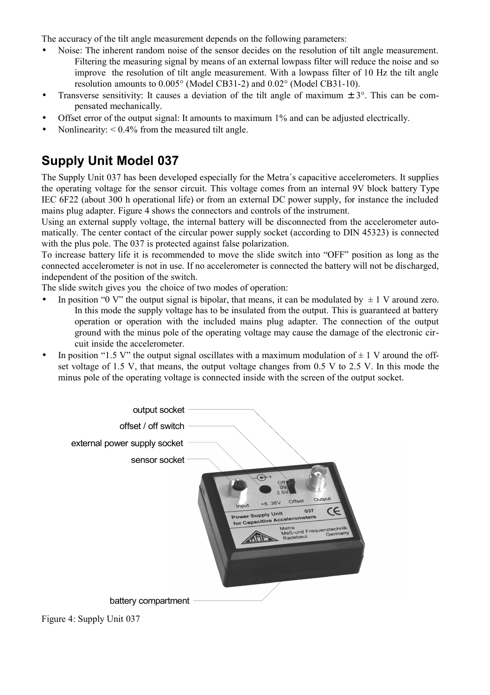The accuracy of the tilt angle measurement depends on the following parameters:

- Noise: The inherent random noise of the sensor decides on the resolution of tilt angle measurement. Filtering the measuring signal by means of an external lowpass filter will reduce the noise and so improve the resolution of tilt angle measurement. With a lowpass filter of 10 Hz the tilt angle resolution amounts to 0.005° (Model CB31-2) and 0.02° (Model CB31-10).
- Transverse sensitivity: It causes a deviation of the tilt angle of maximum  $\pm 3^{\circ}$ . This can be compensated mechanically.
- Offset error of the output signal: It amounts to maximum 1% and can be adjusted electrically.
- Nonlinearity:  $< 0.4\%$  from the measured tilt angle.

# **Supply Unit Model 037**

The Supply Unit 037 has been developed especially for the Metra´s capacitive accelerometers. It supplies the operating voltage for the sensor circuit. This voltage comes from an internal 9V block battery Type IEC 6F22 (about 300 h operational life) or from an external DC power supply, for instance the included mains plug adapter. [Figure 4](#page-2-0) shows the connectors and controls of the instrument.

Using an external supply voltage, the internal battery will be disconnected from the accelerometer automatically. The center contact of the circular power supply socket (according to DIN 45323) is connected with the plus pole. The 037 is protected against false polarization.

To increase battery life it is recommended to move the slide switch into "OFF" position as long as the connected accelerometer is not in use. If no accelerometer is connected the battery will not be discharged, independent of the position of the switch.

The slide switch gives you the choice of two modes of operation:

- In position "0 V" the output signal is bipolar, that means, it can be modulated by  $\pm 1$  V around zero. In this mode the supply voltage has to be insulated from the output. This is guaranteed at battery operation or operation with the included mains plug adapter. The connection of the output ground with the minus pole of the operating voltage may cause the damage of the electronic circuit inside the accelerometer.
- In position "1.5 V" the output signal oscillates with a maximum modulation of  $\pm$  1 V around the offset voltage of 1.5 V, that means, the output voltage changes from 0.5 V to 2.5 V. In this mode the minus pole of the operating voltage is connected inside with the screen of the output socket.



<span id="page-2-0"></span>Figure 4: Supply Unit 037